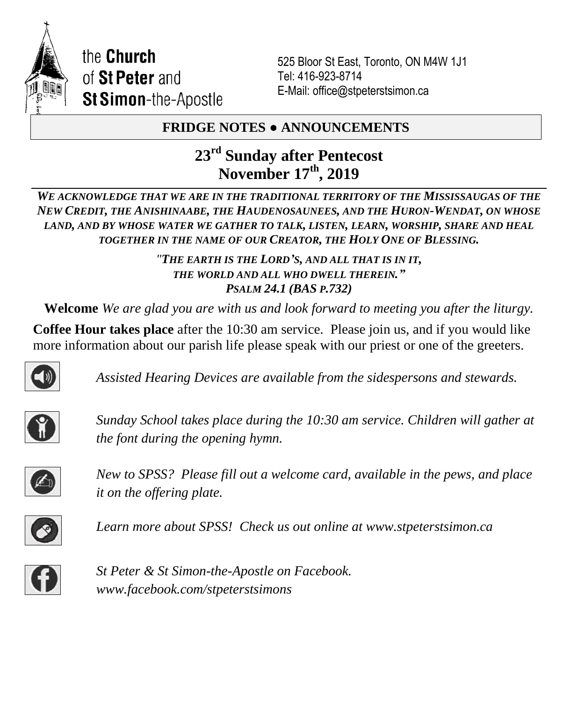

the Church of St Peter and **St Simon-the-Apostle** 

525 Bloor St East, Toronto, ON M4W 1J1 Tel: 416-923-8714 E-Mail: office@stpeterstsimon.ca

## **FRIDGE NOTES ● ANNOUNCEMENTS**

# **23rd Sunday after Pentecost November 17th , 2019**

*WE ACKNOWLEDGE THAT WE ARE IN THE TRADITIONAL TERRITORY OF THE MISSISSAUGAS OF THE NEW CREDIT, THE ANISHINAABE, THE HAUDENOSAUNEES, AND THE HURON-WENDAT, ON WHOSE LAND, AND BY WHOSE WATER WE GATHER TO TALK, LISTEN, LEARN, WORSHIP, SHARE AND HEAL TOGETHER IN THE NAME OF OUR CREATOR, THE HOLY ONE OF BLESSING.*

> *"THE EARTH IS THE LORD'S, AND ALL THAT IS IN IT, THE WORLD AND ALL WHO DWELL THEREIN." PSALM 24.1 (BAS P.732)*

**Welcome** *We are glad you are with us and look forward to meeting you after the liturgy.*

**Coffee Hour takes place** after the 10:30 am service. Please join us, and if you would like more information about our parish life please speak with our priest or one of the greeters.



*Assisted Hearing Devices are available from the sidespersons and stewards.*



*Sunday School takes place during the 10:30 am service. Children will gather at the font during the opening hymn.*



*New to SPSS? Please fill out a welcome card, available in the pews, and place it on the offering plate.* 



*Learn more about SPSS! Check us out online at www.stpeterstsimon.ca* 



*St Peter & St Simon-the-Apostle on Facebook. www.facebook.com/stpeterstsimons*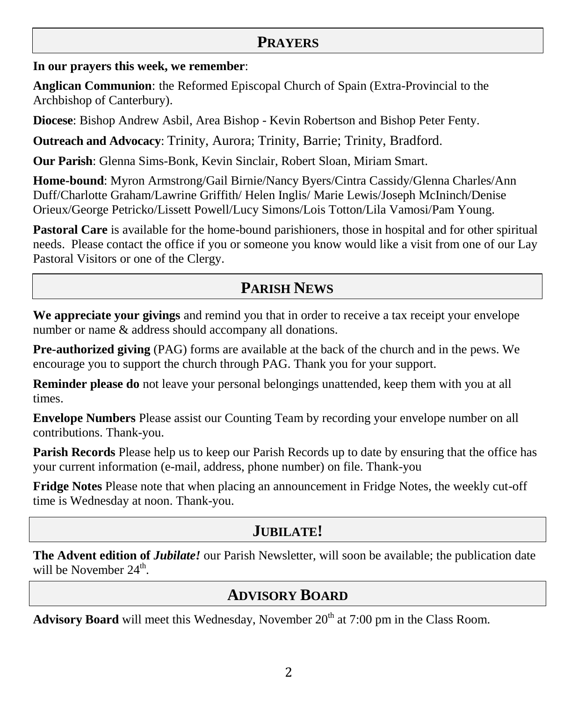### **PRAYERS**

**In our prayers this week, we remember**:

**Anglican Communion**: the Reformed Episcopal Church of Spain (Extra-Provincial to the Archbishop of Canterbury).

**Diocese**: Bishop Andrew Asbil, Area Bishop - Kevin Robertson and Bishop Peter Fenty.

**Outreach and Advocacy**: Trinity, Aurora; Trinity, Barrie; Trinity, Bradford.

**Our Parish**: Glenna Sims-Bonk, Kevin Sinclair, Robert Sloan, Miriam Smart.

**Home-bound**: Myron Armstrong/Gail Birnie/Nancy Byers/Cintra Cassidy/Glenna Charles/Ann Duff/Charlotte Graham/Lawrine Griffith/ Helen Inglis/ Marie Lewis/Joseph McIninch/Denise Orieux/George Petricko/Lissett Powell/Lucy Simons/Lois Totton/Lila Vamosi/Pam Young.

**Pastoral Care** is available for the home-bound parishioners, those in hospital and for other spiritual needs. Please contact the office if you or someone you know would like a visit from one of our Lay Pastoral Visitors or one of the Clergy.

# **PARISH NEWS**

**We appreciate your givings** and remind you that in order to receive a tax receipt your envelope number or name & address should accompany all donations.

**Pre-authorized giving** (PAG) forms are available at the back of the church and in the pews. We encourage you to support the church through PAG. Thank you for your support.

**Reminder please do** not leave your personal belongings unattended, keep them with you at all times.

**Envelope Numbers** Please assist our Counting Team by recording your envelope number on all contributions. Thank-you.

**Parish Records** Please help us to keep our Parish Records up to date by ensuring that the office has your current information (e-mail, address, phone number) on file. Thank-you

**Fridge Notes** Please note that when placing an announcement in Fridge Notes, the weekly cut-off time is Wednesday at noon. Thank-you.

## **JUBILATE!**

**The Advent edition of** *Jubilate!* our Parish Newsletter, will soon be available; the publication date will be November  $24^{\text{th}}$ .

# **ADVISORY BOARD**

**Advisory Board** will meet this Wednesday, November 20<sup>th</sup> at 7:00 pm in the Class Room.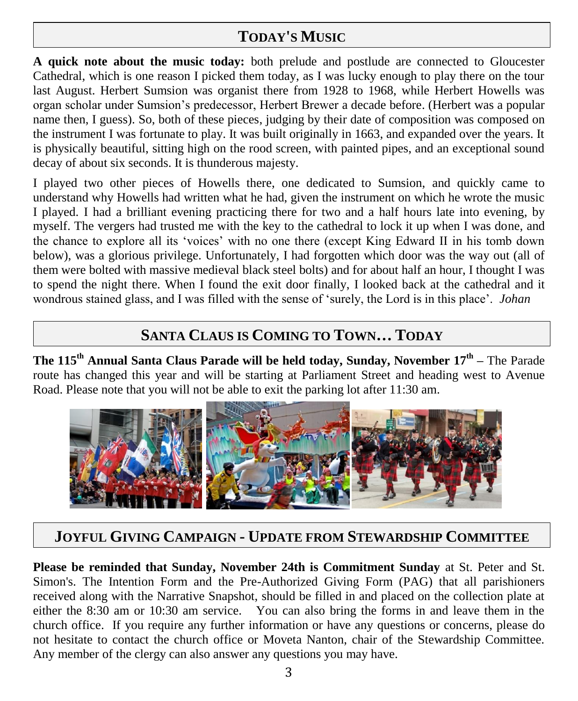# **TODAY'S MUSIC**

**A quick note about the music today:** both prelude and postlude are connected to Gloucester Cathedral, which is one reason I picked them today, as I was lucky enough to play there on the tour last August. Herbert Sumsion was organist there from 1928 to 1968, while Herbert Howells was organ scholar under Sumsion's predecessor, Herbert Brewer a decade before. (Herbert was a popular name then, I guess). So, both of these pieces, judging by their date of composition was composed on the instrument I was fortunate to play. It was built originally in 1663, and expanded over the years. It is physically beautiful, sitting high on the rood screen, with painted pipes, and an exceptional sound decay of about six seconds. It is thunderous majesty.

I played two other pieces of Howells there, one dedicated to Sumsion, and quickly came to understand why Howells had written what he had, given the instrument on which he wrote the music I played. I had a brilliant evening practicing there for two and a half hours late into evening, by myself. The vergers had trusted me with the key to the cathedral to lock it up when I was done, and the chance to explore all its 'voices' with no one there (except King Edward II in his tomb down below), was a glorious privilege. Unfortunately, I had forgotten which door was the way out (all of them were bolted with massive medieval black steel bolts) and for about half an hour, I thought I was to spend the night there. When I found the exit door finally, I looked back at the cathedral and it wondrous stained glass, and I was filled with the sense of 'surely, the Lord is in this place'. *Johan*

# **SANTA CLAUS IS COMING TO TOWN… TODAY**

**The 115th Annual Santa Claus Parade will be held today, Sunday, November 17th –** The Parade route has changed this year and will be starting at Parliament Street and heading west to Avenue Road. Please note that you will not be able to exit the parking lot after 11:30 am.



# **JOYFUL GIVING CAMPAIGN - UPDATE FROM STEWARDSHIP COMMITTEE**

**Please be reminded that Sunday, November 24th is Commitment Sunday** at St. Peter and St. Simon's. The Intention Form and the Pre-Authorized Giving Form (PAG) that all parishioners received along with the Narrative Snapshot, should be filled in and placed on the collection plate at either the 8:30 am or 10:30 am service. You can also bring the forms in and leave them in the church office. If you require any further information or have any questions or concerns, please do not hesitate to contact the church office or Moveta Nanton, chair of the Stewardship Committee. Any member of the clergy can also answer any questions you may have.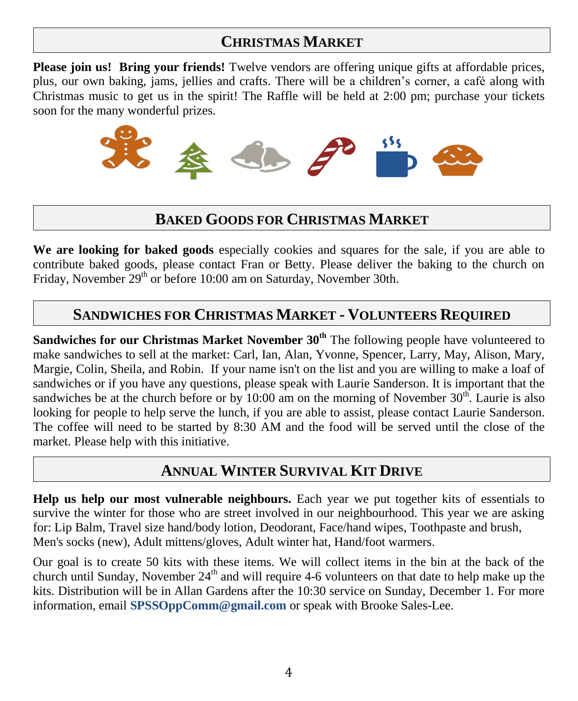# **CHRISTMAS MARKET**

**Please join us! Bring your friends!** Twelve vendors are offering unique gifts at affordable prices, plus, our own baking, jams, jellies and crafts. There will be a children's corner, a café along with Christmas music to get us in the spirit! The Raffle will be held at 2:00 pm; purchase your tickets soon for the many wonderful prizes.



## **BAKED GOODS FOR CHRISTMAS MARKET**

**We are looking for baked goods** especially cookies and squares for the sale, if you are able to contribute baked goods, please contact Fran or Betty. Please deliver the baking to the church on Friday, November 29<sup>th</sup> or before 10:00 am on Saturday, November 30th.

### **SANDWICHES FOR CHRISTMAS MARKET - VOLUNTEERS REQUIRED**

**Sandwiches for our Christmas Market November 30<sup>th</sup> The following people have volunteered to** make sandwiches to sell at the market: Carl, Ian, Alan, Yvonne, Spencer, Larry, May, Alison, Mary, Margie, Colin, Sheila, and Robin. If your name isn't on the list and you are willing to make a loaf of sandwiches or if you have any questions, please speak with Laurie Sanderson. It is important that the sandwiches be at the church before or by  $10:00$  am on the morning of November  $30<sup>th</sup>$ . Laurie is also looking for people to help serve the lunch, if you are able to assist, please contact Laurie Sanderson. The coffee will need to be started by 8:30 AM and the food will be served until the close of the market. Please help with this initiative.

## **ANNUAL WINTER SURVIVAL KIT DRIVE**

**Help us help our most vulnerable neighbours.** Each year we put together kits of essentials to survive the winter for those who are street involved in our neighbourhood. This year we are asking for: Lip Balm, Travel size hand/body lotion, Deodorant, Face/hand wipes, Toothpaste and brush, Men's socks (new), Adult mittens/gloves, Adult winter hat, Hand/foot warmers.

Our goal is to create 50 kits with these items. We will collect items in the bin at the back of the church until Sunday, November  $24<sup>th</sup>$  and will require 4-6 volunteers on that date to help make up the kits. Distribution will be in Allan Gardens after the 10:30 service on Sunday, December 1. For more information, email **SPSSOppComm@gmail.com** or speak with Brooke Sales-Lee.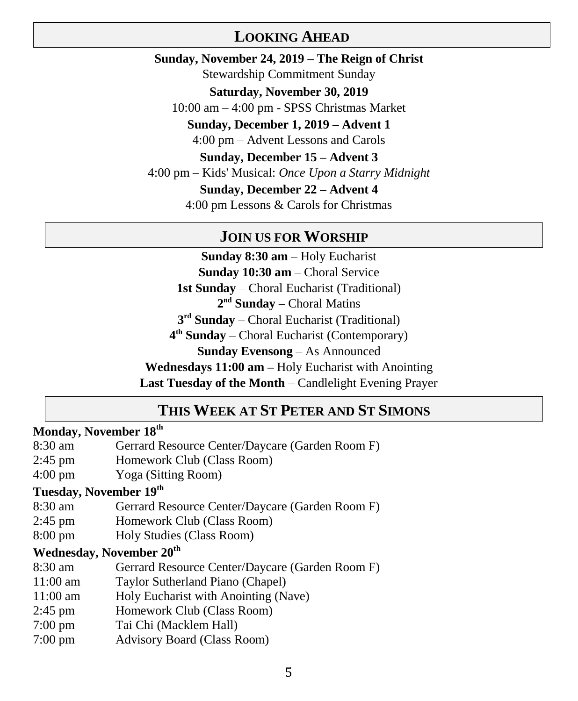### **LOOKING AHEAD**

**Sunday, November 24, 2019 – The Reign of Christ** Stewardship Commitment Sunday **Saturday, November 30, 2019** 10:00 am – 4:00 pm - SPSS Christmas Market **Sunday, December 1, 2019 – Advent 1** 4:00 pm – Advent Lessons and Carols **Sunday, December 15 – Advent 3** 4:00 pm – Kids' Musical: *Once Upon a Starry Midnight* **Sunday, December 22 – Advent 4** 4:00 pm Lessons & Carols for Christmas

#### **JOIN US FOR WORSHIP**

**Sunday 8:30 am** – Holy Eucharist **Sunday 10:30 am** – Choral Service **1st Sunday** – Choral Eucharist (Traditional) 2<sup>nd</sup> Sunday – Choral Matins **3 rd Sunday** – Choral Eucharist (Traditional) **4 th Sunday** – Choral Eucharist (Contemporary) **Sunday Evensong** – As Announced **Wednesdays 11:00 am –** Holy Eucharist with Anointing **Last Tuesday of the Month** – Candlelight Evening Prayer

### **THIS WEEK AT ST PETER AND ST SIMONS**

### **Monday, November 18 th**

- 8:30 am Gerrard Resource Center/Daycare (Garden Room F)
- 2:45 pm Homework Club (Class Room)
- 4:00 pm Yoga (Sitting Room)

### **Tuesday, November 19 th**

- 8:30 am Gerrard Resource Center/Daycare (Garden Room F)
- 2:45 pm Homework Club (Class Room)
- 8:00 pm Holy Studies (Class Room)

### **Wednesday, November 20th**

- 8:30 am Gerrard Resource Center/Daycare (Garden Room F)
- 11:00 am Taylor Sutherland Piano (Chapel)
- 11:00 am Holy Eucharist with Anointing (Nave)
- 2:45 pm Homework Club (Class Room)
- 7:00 pm Tai Chi (Macklem Hall)
- 7:00 pm Advisory Board (Class Room)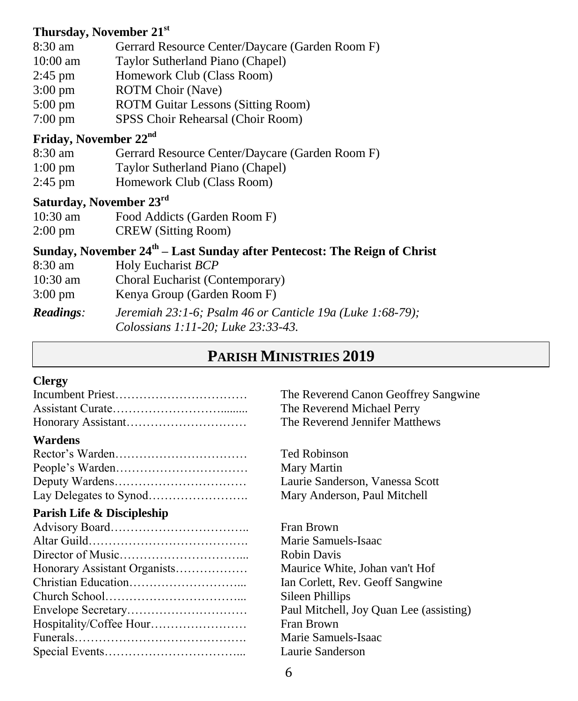### **Thursday, November 21st**

- 8:30 am Gerrard Resource Center/Daycare (Garden Room F)
- 10:00 am Taylor Sutherland Piano (Chapel)
- 2:45 pm Homework Club (Class Room)
- 3:00 pm ROTM Choir (Nave)
- 5:00 pm ROTM Guitar Lessons (Sitting Room)
- 7:00 pm SPSS Choir Rehearsal (Choir Room)

### **Friday, November 22nd**

- 8:30 am Gerrard Resource Center/Daycare (Garden Room F)
- 1:00 pm Taylor Sutherland Piano (Chapel)
- 2:45 pm Homework Club (Class Room)

### **Saturday, November 23rd**

- 10:30 am Food Addicts (Garden Room F) 2:00 pm CREW (Sitting Room)
- 

### **Sunday, November 24th – Last Sunday after Pentecost: The Reign of Christ**

- 8:30 am Holy Eucharist *BCP*
- 10:30 am Choral Eucharist (Contemporary)
- 3:00 pm Kenya Group (Garden Room F)

*Readings: Jeremiah 23:1-6; Psalm 46 or Canticle 19a (Luke 1:68-79); Colossians 1:11-20; Luke 23:33-43.*

## **PARISH MINISTRIES 2019**

#### **Clergy**

| Wardens                                         |  |  |  |  |  |  |
|-------------------------------------------------|--|--|--|--|--|--|
| $D_{\text{actor}}$ <sup>2</sup> $\alpha$ Wordon |  |  |  |  |  |  |

#### **Parish Life & Discipleship**

| Honorary Assistant Organists |
|------------------------------|
|                              |
|                              |
|                              |
| Hospitality/Coffee Hour      |
|                              |
|                              |

The Reverend Canon Geoffrey Sangwine The Reverend Michael Perry The Reverend Jennifer Matthews

Ted Robinson Mary Martin Laurie Sanderson, Vanessa Scott Mary Anderson, Paul Mitchell

Fran Brown Marie Samuels-Isaac **Robin Davis** Maurice White, Johan van't Hof Ian Corlett, Rev. Geoff Sangwine Sileen Phillips Paul Mitchell, Joy Quan Lee (assisting) Fran Brown Marie Samuels-Isaac Laurie Sanderson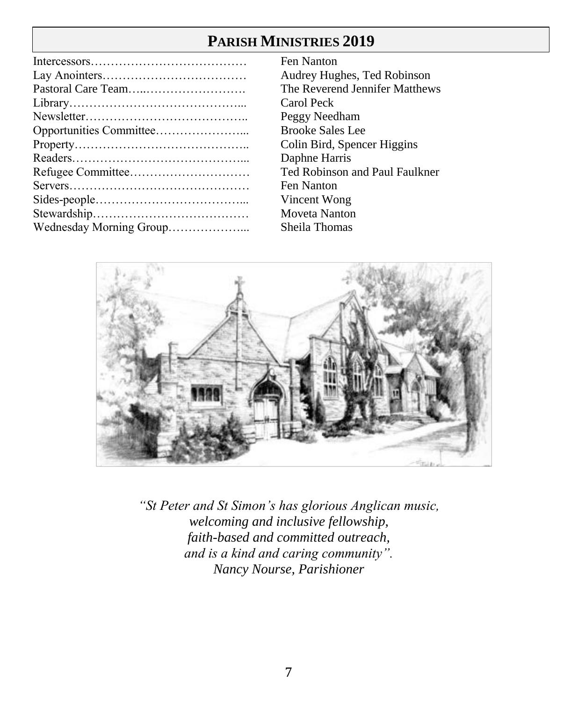# **PARISH MINISTRIES 2019**

| Wednesday Morning Group |
|-------------------------|

Fen Nanton Audrey Hughes, Ted Robinson The Reverend Jennifer Matthews Carol Peck Peggy Needham Brooke Sales Lee Colin Bird, Spencer Higgins Daphne Harris Ted Robinson and Paul Faulkner Fen Nanton Vincent Wong Moveta Nanton Sheila Thomas



*"St Peter and St Simon's has glorious Anglican music, welcoming and inclusive fellowship, faith-based and committed outreach, and is a kind and caring community". Nancy Nourse, Parishioner*